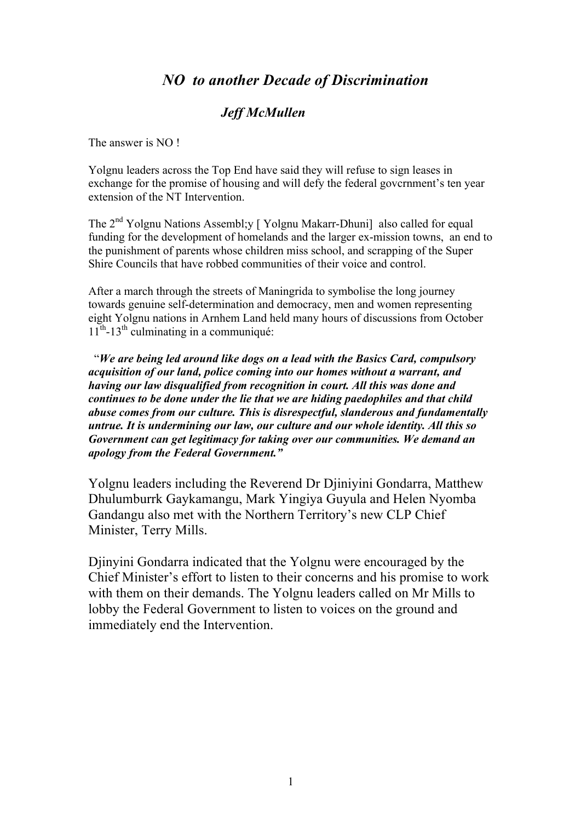## *NO to another Decade of Discrimination*

## *Jeff McMullen*

The answer is NO !

Yolgnu leaders across the Top End have said they will refuse to sign leases in exchange for the promise of housing and will defy the federal govcrnment's ten year extension of the NT Intervention.

The 2<sup>nd</sup> Yolgnu Nations Assembl;y [Yolgnu Makarr-Dhuni] also called for equal funding for the development of homelands and the larger ex-mission towns, an end to the punishment of parents whose children miss school, and scrapping of the Super Shire Councils that have robbed communities of their voice and control.

After a march through the streets of Maningrida to symbolise the long journey towards genuine self-determination and democracy, men and women representing eight Yolgnu nations in Arnhem Land held many hours of discussions from October  $11^{th}$ -13<sup>th</sup> culminating in a communiqué:

 "*We are being led around like dogs on a lead with the Basics Card, compulsory acquisition of our land, police coming into our homes without a warrant, and having our law disqualified from recognition in court. All this was done and continues to be done under the lie that we are hiding paedophiles and that child abuse comes from our culture. This is disrespectful, slanderous and fundamentally untrue. It is undermining our law, our culture and our whole identity. All this so Government can get legitimacy for taking over our communities. We demand an apology from the Federal Government."*

Yolgnu leaders including the Reverend Dr Djiniyini Gondarra, Matthew Dhulumburrk Gaykamangu, Mark Yingiya Guyula and Helen Nyomba Gandangu also met with the Northern Territory's new CLP Chief Minister, Terry Mills.

Djinyini Gondarra indicated that the Yolgnu were encouraged by the Chief Minister's effort to listen to their concerns and his promise to work with them on their demands. The Yolgnu leaders called on Mr Mills to lobby the Federal Government to listen to voices on the ground and immediately end the Intervention.